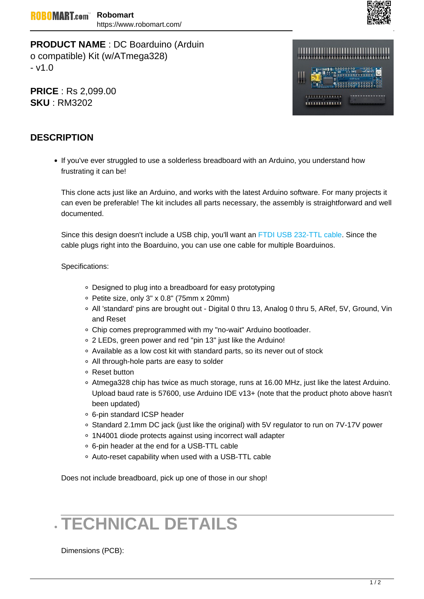

**PRODUCT NAME** : DC Boarduino (Arduin o compatible) Kit (w/ATmega328) - v1.0

**PRICE** : Rs 2,099.00 **SKU** : RM3202



## **DESCRIPTION**

If you've ever struggled to use a solderless breadboard with an Arduino, you understand how frustrating it can be!

This clone acts just like an Arduino, and works with the latest Arduino software. For many projects it can even be preferable! The kit includes all parts necessary, the assembly is straightforward and well documented.

Since this design doesn't include a USB chip, you'll want an FTDI USB 232-TTL cable. Since the cable plugs right into the Boarduino, you can use one cable for multiple Boarduinos.

## Specifications:

- Designed to plug into a breadboard for easy prototyping
- $\degree$  Petite size, only 3" x 0.8" (75mm x 20mm)
- All 'standard' pins are brought out Digital 0 thru 13, Analog 0 thru 5, ARef, 5V, Ground, Vin and Reset
- Chip comes preprogrammed with my "no-wait" Arduino bootloader.
- 2 LEDs, green power and red "pin 13" just like the Arduino!
- $\circ$  Available as a low cost kit with standard parts, so its never out of stock
- All through-hole parts are easy to solder
- Reset button
- Atmega328 chip has twice as much storage, runs at 16.00 MHz, just like the latest Arduino. Upload baud rate is 57600, use Arduino IDE v13+ (note that the product photo above hasn't been updated)
- 6-pin standard ICSP header
- Standard 2.1mm DC jack (just like the original) with 5V regulator to run on 7V-17V power
- 1N4001 diode protects against using incorrect wall adapter
- 6-pin header at the end for a USB-TTL cable
- Auto-reset capability when used with a USB-TTL cable

Does not include breadboard, pick up one of those in our shop!

## **TECHNICAL DETAILS**

Dimensions (PCB):